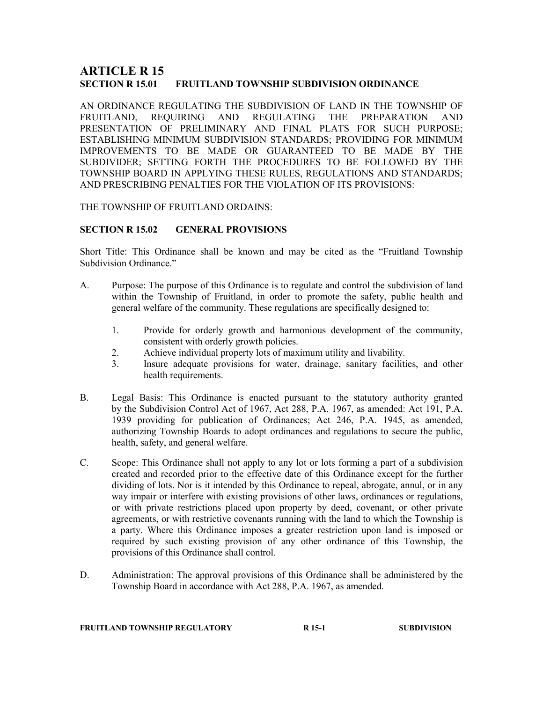# **ARTICLE R 15<br>section r 15.01** FRUITLAND TOWNSHIP SUBDIVISION ORDINANCE

AN ORDINANCE REGULATING THE SUBDIVISION OF LAND IN THE TOWNSHIP OF FRUITLAND, REQUIRING AND REGULATING THE PREPARATION AND PRESENTATION OF PRELIMINARY AND FINAL PLATS FOR SUCH PURPOSE; ESTABLISHING MINIMUM SUBDIVISION STANDARDS; PROVIDING FOR MINIMUM IMPROVEMENTS TO BE MADE OR GUARANTEED TO BE MADE BY THE SUBDIVIDER; SETTING FORTH THE PROCEDURES TO BE FOLLOWED BY THE TOWNSHIP BOARD IN APPLYING THESE RULES, REGULATIONS AND STANDARDS; AND PRESCRIBING PENALTIES FOR THE VIOLATION OF ITS PROVISIONS:

### THE TOWNSHIP OF FRUITLAND ORDAINS:

# SECTION R 15.02 GENERAL PROVISIONS

Short Title: This Ordinance shall be known and may be cited as the "Fruitland Township Subdivision Ordinance."

- A. Purpose: The purpose of this Ordinance is to regulate and control the subdivision of land within the Township of Fruitland, in order to promote the safety, public health and general welfare of the community. These regulations are specifically designed to:
	- 1. Provide for orderly growth and harmonious development of the community, consistent with orderly growth policies.
	- 2. Achieve individual property lots of maximum utility and livability.
	- 3. Insure adequate provisions for water, drainage, sanitary facilities, and other health requirements.
- B. Legal Basis: This Ordinance is enacted pursuant to the statutory authority granted by the Subdivision Control Act of 1967, Act 288, P.A. 1967, as amended: Act 191, P.A. 1939 providing for publication of Ordinances; Act 246, P.A. 1945, as amended, authorizing Township Boards to adopt ordinances and regulations to secure the public, health, safety, and general welfare.
- C. Scope: This Ordinance shall not apply to any lot or lots forming a part of a subdivision created and recorded prior to the effective date of this Ordinance except for the further dividing of lots. Nor is it intended by this Ordinance to repeal, abrogate, annul, or in any way impair or interfere with existing provisions of other laws, ordinances or regulations, or with private restrictions placed upon property by deed, covenant, or other private agreements, or with restrictive covenants running with the land to which the Township is a party. Where this Ordinance imposes a greater restriction upon land is imposed or required by such existing provision of any other ordinance of this Township, the provisions of this Ordinance shall control.
- D. Administration: The approval provisions of this Ordinance shall be administered by the Township Board in accordance with Act 288, P.A. 1967, as amended.

### FRUITLAND TOWNSHIP REGULATORY **R** 15-1 SUBDIVISION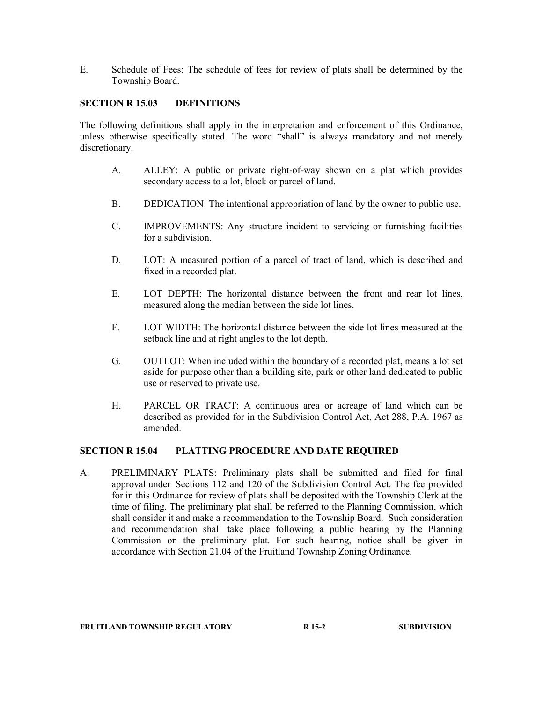E. Schedule of Fees: The schedule of fees for review of plats shall be determined by the Township Board.

### SECTION R 15.03 DEFINITIONS

The following definitions shall apply in the interpretation and enforcement of this Ordinance, unless otherwise specifically stated. The word "shall" is always mandatory and not merely discretionary.

- A. ALLEY: A public or private right-of-way shown on a plat which provides secondary access to a lot, block or parcel of land.
- B. DEDICATION: The intentional appropriation of land by the owner to public use.
- C. IMPROVEMENTS: Any structure incident to servicing or furnishing facilities for a subdivision.
- D. LOT: A measured portion of a parcel of tract of land, which is described and fixed in a recorded plat.
- E. LOT DEPTH: The horizontal distance between the front and rear lot lines, measured along the median between the side lot lines.
- F. LOT WIDTH: The horizontal distance between the side lot lines measured at the setback line and at right angles to the lot depth.
- G. OUTLOT: When included within the boundary of a recorded plat, means a lot set aside for purpose other than a building site, park or other land dedicated to public use or reserved to private use.
- H. PARCEL OR TRACT: A continuous area or acreage of land which can be described as provided for in the Subdivision Control Act, Act 288, P.A. 1967 as amended.

### SECTION R 15.04 PLATTING PROCEDURE AND DATE REQUIRED

A. PRELIMINARY PLATS: Preliminary plats shall be submitted and filed for final approval under Sections 112 and 120 of the Subdivision Control Act. The fee provided for in this Ordinance for review of plats shall be deposited with the Township Clerk at the time of filing. The preliminary plat shall be referred to the Planning Commission, which shall consider it and make a recommendation to the Township Board. Such consideration and recommendation shall take place following a public hearing by the Planning Commission on the preliminary plat. For such hearing, notice shall be given in accordance with Section 21.04 of the Fruitland Township Zoning Ordinance.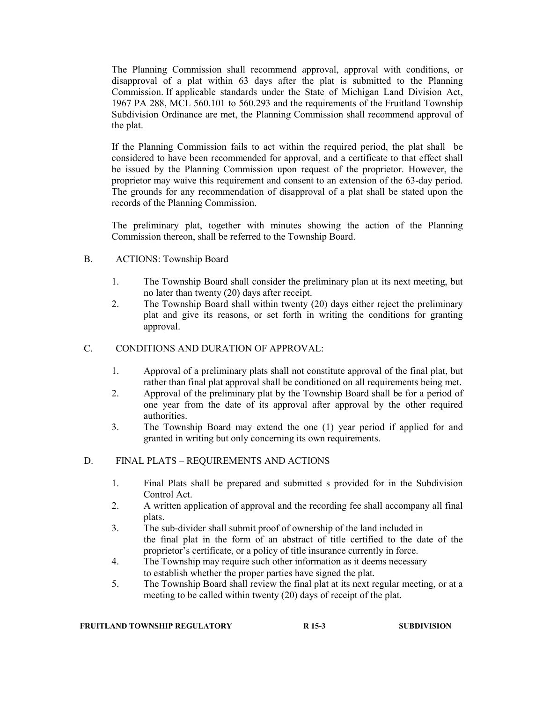The Planning Commission shall recommend approval, approval with conditions, or disapproval of a plat within 63 days after the plat is submitted to the Planning Commission. If applicable standards under the State of Michigan Land Division Act, 1967 PA 288, MCL 560.101 to 560.293 and the requirements of the Fruitland Township Subdivision Ordinance are met, the Planning Commission shall recommend approval of the plat.

If the Planning Commission fails to act within the required period, the plat shall be considered to have been recommended for approval, and a certificate to that effect shall be issued by the Planning Commission upon request of the proprietor. However, the proprietor may waive this requirement and consent to an extension of the 63-day period. The grounds for any recommendation of disapproval of a plat shall be stated upon the records of the Planning Commission.

 The preliminary plat, together with minutes showing the action of the Planning Commission thereon, shall be referred to the Township Board.

### B. ACTIONS: Township Board

- 1. The Township Board shall consider the preliminary plan at its next meeting, but no later than twenty (20) days after receipt.
- 2. The Township Board shall within twenty (20) days either reject the preliminary plat and give its reasons, or set forth in writing the conditions for granting approval.

### C. CONDITIONS AND DURATION OF APPROVAL:

- 1. Approval of a preliminary plats shall not constitute approval of the final plat, but rather than final plat approval shall be conditioned on all requirements being met.
- 2. Approval of the preliminary plat by the Township Board shall be for a period of one year from the date of its approval after approval by the other required authorities.
- 3. The Township Board may extend the one (1) year period if applied for and granted in writing but only concerning its own requirements.

# D. FINAL PLATS – REQUIREMENTS AND ACTIONS

- 1. Final Plats shall be prepared and submitted s provided for in the Subdivision Control Act.
- 2. A written application of approval and the recording fee shall accompany all final plats.
- 3. The sub-divider shall submit proof of ownership of the land included in the final plat in the form of an abstract of title certified to the date of the proprietor's certificate, or a policy of title insurance currently in force.
- 4. The Township may require such other information as it deems necessary to establish whether the proper parties have signed the plat.
- 5. The Township Board shall review the final plat at its next regular meeting, or at a meeting to be called within twenty (20) days of receipt of the plat.

#### FRUITLAND TOWNSHIP REGULATORY **R** 15-3 SUBDIVISION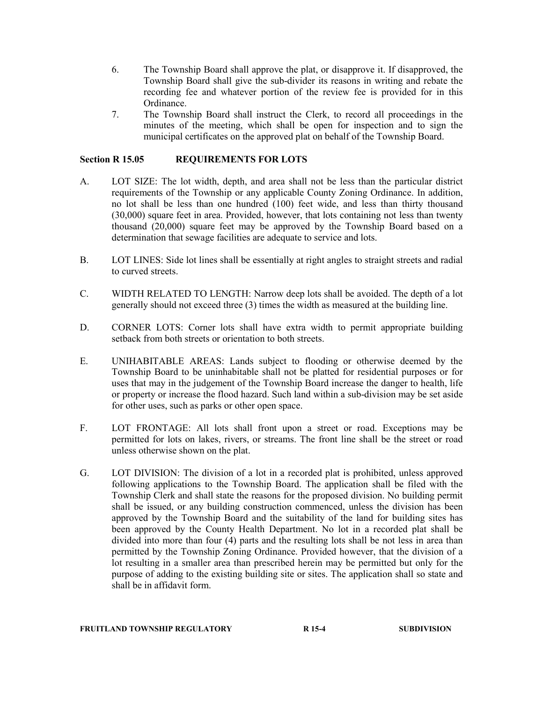- 6. The Township Board shall approve the plat, or disapprove it. If disapproved, the Township Board shall give the sub-divider its reasons in writing and rebate the recording fee and whatever portion of the review fee is provided for in this Ordinance.
- 7. The Township Board shall instruct the Clerk, to record all proceedings in the minutes of the meeting, which shall be open for inspection and to sign the municipal certificates on the approved plat on behalf of the Township Board.

### Section R 15.05 REQUIREMENTS FOR LOTS

- A. LOT SIZE: The lot width, depth, and area shall not be less than the particular district requirements of the Township or any applicable County Zoning Ordinance. In addition, no lot shall be less than one hundred (100) feet wide, and less than thirty thousand (30,000) square feet in area. Provided, however, that lots containing not less than twenty thousand (20,000) square feet may be approved by the Township Board based on a determination that sewage facilities are adequate to service and lots.
- B. LOT LINES: Side lot lines shall be essentially at right angles to straight streets and radial to curved streets.
- C. WIDTH RELATED TO LENGTH: Narrow deep lots shall be avoided. The depth of a lot generally should not exceed three (3) times the width as measured at the building line.
- D. CORNER LOTS: Corner lots shall have extra width to permit appropriate building setback from both streets or orientation to both streets.
- E. UNIHABITABLE AREAS: Lands subject to flooding or otherwise deemed by the Township Board to be uninhabitable shall not be platted for residential purposes or for uses that may in the judgement of the Township Board increase the danger to health, life or property or increase the flood hazard. Such land within a sub-division may be set aside for other uses, such as parks or other open space.
- F. LOT FRONTAGE: All lots shall front upon a street or road. Exceptions may be permitted for lots on lakes, rivers, or streams. The front line shall be the street or road unless otherwise shown on the plat.
- G. LOT DIVISION: The division of a lot in a recorded plat is prohibited, unless approved following applications to the Township Board. The application shall be filed with the Township Clerk and shall state the reasons for the proposed division. No building permit shall be issued, or any building construction commenced, unless the division has been approved by the Township Board and the suitability of the land for building sites has been approved by the County Health Department. No lot in a recorded plat shall be divided into more than four (4) parts and the resulting lots shall be not less in area than permitted by the Township Zoning Ordinance. Provided however, that the division of a lot resulting in a smaller area than prescribed herein may be permitted but only for the purpose of adding to the existing building site or sites. The application shall so state and shall be in affidavit form.

### FRUITLAND TOWNSHIP REGULATORY R 15-4 SUBDIVISION